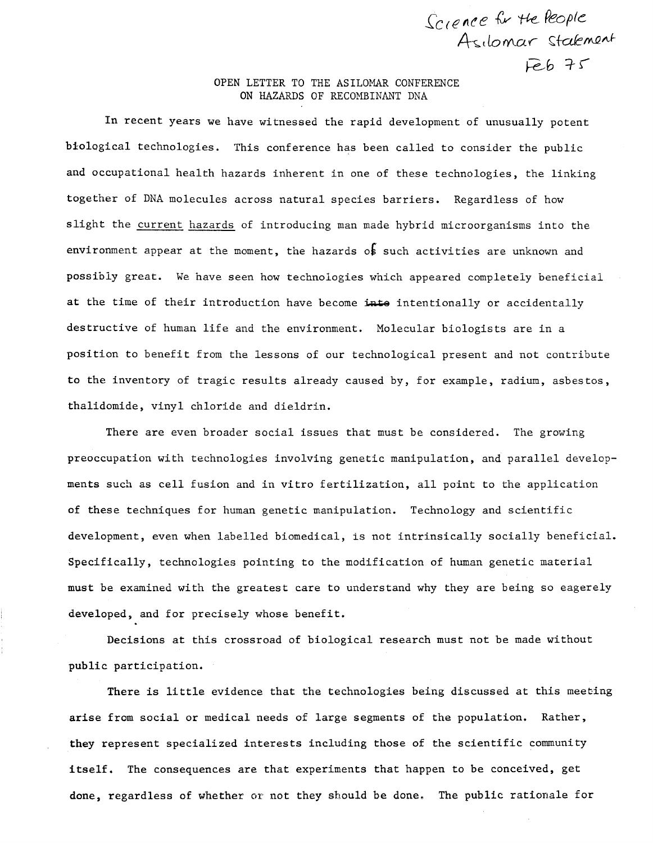## OPEN LETTER TO THE ASILOMAR CONFERENCE ON HAZARDS OF RECOMBINANT DNA

Science for the Meople

Asilomar Stalement

 $Feb$  75

In recent years we have witnessed the rapid development of unusually potent biological technologies. This conference has been called to consider the public and occupational health hazards inherent in one of these technologies, the linking together of DNA molecules across natural species barriers. Regardless of how slight the current hazards of introducing man made hybrid microorganisms into the environment appear at the moment, the hazards of such activities are unknown and possiply great. We have seen how technologies which appeared completely beneficial at the time of their introduction have become intentionally or accidentally destructive of human life and the environment. Molecular biologists are in a position to benefit from the lessons of our technological present and not contribute to the inventory of tragic results already caused by, for example, radium, asbestos, thalidomide, vinyl chloride and dieldrin.

There are even broader social issues that must be considered. The growing preoccupation with technologies involving genetic manipulation, and parallel developments such as cell fusion and in vitro fertilization, all point to the application of these techniques for human genetic manipulation. Technology and scientific development, even when labelled biomedical, is not intrinsically socially beneficial. Specifically, technologies pointing to the modification of human genetic material must be examined with the greatest care to understand why they are being so eagerely developed, and for precisely whose benefit.

Decisions at this crossroad of biological research must not be made without public participation.

There is little evidence that the technologies being discussed at this meeting arise from social or medical needs of large segments of the population. Rather, they represent specialized interests including those of the scientific community itself. The consequences are that experiments that happen to be conceived, get done, regardless of whether or not they skould be done. The public rationale for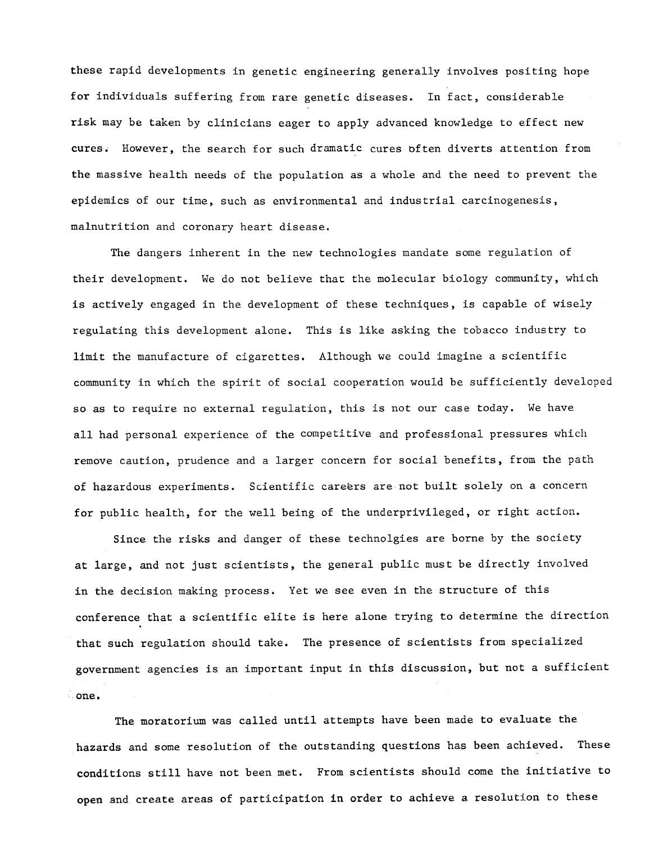these rapid developments in genetic engineering generally involves positing hope for individuals suffering from rare genetic diseases. In fact, considerable risk may be taken by clinicians eager to apply advanced knowledge to effect new cures. However, the search for such dramatic cures often diverts attention from the massive health needs of the population as a whole and the need to prevent the epidemics of our time, such as environmental and industrial carcinogenesis, malnutrition and coronary heart disease.

The dangers inherent in the new technologies mandate some regulation of their development. We do not believe that the molecular biology community, which is actively engaged in the development of these techniques, is capable of wisely regulating this development alone. This is like asking the tobacco industry to limit the manufacture of cigarettes. Although we could imagine a scientific community in which the spirit of social cooperation would be sufficiently developed so as to require no external regulation, this is not our case today. We have all had personal experience of the competitive and professional pressures which remove caution, prudence and a larger concern for social benefits, from the path of hazardous experiments. Scientific careers are-not built solely on a concern for public health, for the well being of the underprivileged, or right action.

Since the risks and danger of these technolgies are borne by the society at large, and not just scientists, the general public must be directly involved in the decision making process. Yet we see even in the structure of this conference that a scientific elite is here alone trying to determine the direction that such regulation should take. The presence of scientists from specialized government agencies is an important input in this discussion, but not a sufficient one.

The moratorium was called until attempts have been made to evaluate the hazards and some resolution of the outstanding questions has been achieved. These conditions still have not been met. From scientists should come the initiative to open and create areas of participation in order to achieve a resolution to these